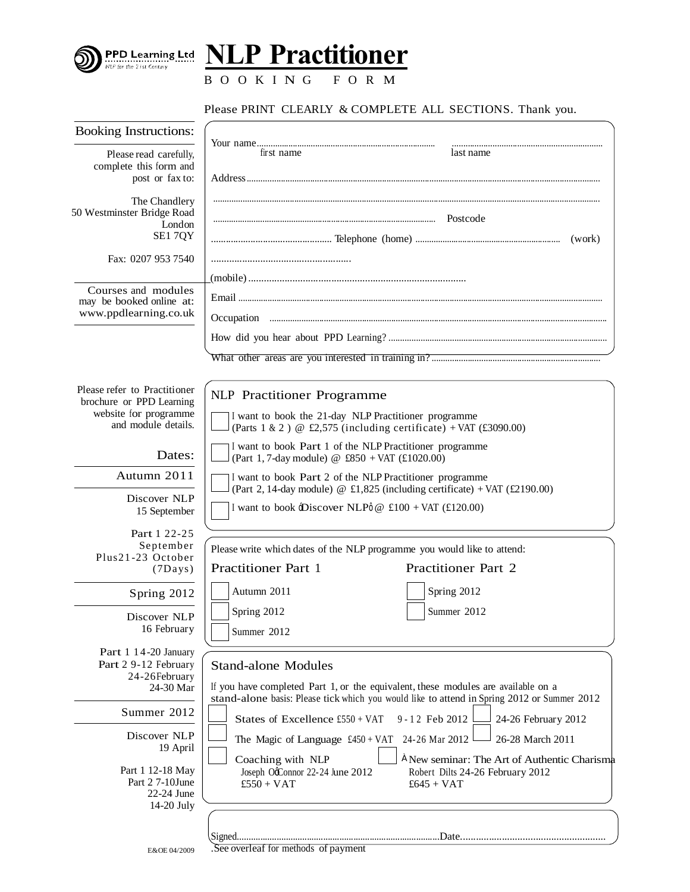

**NLP Practitioner**

B O O K I N G F O R M

## Please PRINT CLEARLY & COMPLETE ALL SECTIONS. Thank you.

| <b>Booking Instructions:</b>                      |                                                                                                                                                                                  |  |
|---------------------------------------------------|----------------------------------------------------------------------------------------------------------------------------------------------------------------------------------|--|
| Please read carefully,                            | last name<br>first name                                                                                                                                                          |  |
| complete this form and<br>post or fax to:         |                                                                                                                                                                                  |  |
| The Chandlery                                     |                                                                                                                                                                                  |  |
| 50 Westminster Bridge Road<br>London              |                                                                                                                                                                                  |  |
| SE17QY                                            | (work)                                                                                                                                                                           |  |
| Fax: 0207 953 7540                                |                                                                                                                                                                                  |  |
|                                                   |                                                                                                                                                                                  |  |
| Courses and modules<br>may be booked online at:   |                                                                                                                                                                                  |  |
| www.ppdlearning.co.uk                             |                                                                                                                                                                                  |  |
|                                                   |                                                                                                                                                                                  |  |
|                                                   |                                                                                                                                                                                  |  |
| Please refer to Practitioner                      | <b>NLP</b> Practitioner Programme                                                                                                                                                |  |
| brochure or PPD Learning<br>website for programme | I want to book the 21-day NLP Practitioner programme                                                                                                                             |  |
| and module details.                               | (Parts 1 & 2) @ £2,575 (including certificate) + VAT (£3090.00)                                                                                                                  |  |
| Dates:                                            | I want to book Part 1 of the NLP Practitioner programme<br>(Part 1, 7-day module) @ $£850 + VAT (£1020.00)$                                                                      |  |
| Autumn 2011                                       | I want to book Part 2 of the NLP Practitioner programme                                                                                                                          |  |
| Discover NLP                                      | (Part 2, 14-day module) @ £1,825 (including certificate) + VAT (£2190.00)                                                                                                        |  |
| 15 September                                      | I want to book -Discover NLP $\phi \otimes$ £100 + VAT (£120.00)                                                                                                                 |  |
| Part 1 22-25                                      |                                                                                                                                                                                  |  |
| September<br>Plus21-23 October                    | Please write which dates of the NLP programme you would like to attend:                                                                                                          |  |
| $(7$ Days $)$                                     | <b>Practitioner Part 1</b><br>Practitioner Part 2                                                                                                                                |  |
| Spring 2012                                       | Autumn 2011<br>Spring 2012                                                                                                                                                       |  |
| Discover NLP                                      | Spring 2012<br>Summer 2012                                                                                                                                                       |  |
| 16 February                                       | Summer 2012                                                                                                                                                                      |  |
| Part 1 14-20 January                              |                                                                                                                                                                                  |  |
| Part 2 9-12 February<br>24-26February             | <b>Stand-alone Modules</b>                                                                                                                                                       |  |
| 24-30 Mar                                         | If you have completed Part 1, or the equivalent, these modules are available on a<br>stand-alone basis: Please tick which you would like to attend in Spring 2012 or Summer 2012 |  |
| Summer 2012                                       | 9-12 Feb 2012<br>States of Excellence £550 + VAT<br>24-26 February 2012                                                                                                          |  |
| Discover NLP                                      | 24-26 Mar 2012<br>26-28 March 2011<br>The Magic of Language $£450 + VAT$                                                                                                         |  |
| 19 April                                          | A New seminar: The Art of Authentic Charisma<br>Coaching with NLP                                                                                                                |  |
| Part 1 12-18 May                                  | Joseph OcConnor 22-24 June 2012<br>Robert Dilts 24-26 February 2012                                                                                                              |  |
| Part 27-10June<br>22-24 June                      | $£550 + VAT$<br>$£645 + VAT$                                                                                                                                                     |  |
| 14-20 July                                        |                                                                                                                                                                                  |  |
|                                                   |                                                                                                                                                                                  |  |
| E&OE 04/2009                                      | See overleaf for methods of payment                                                                                                                                              |  |